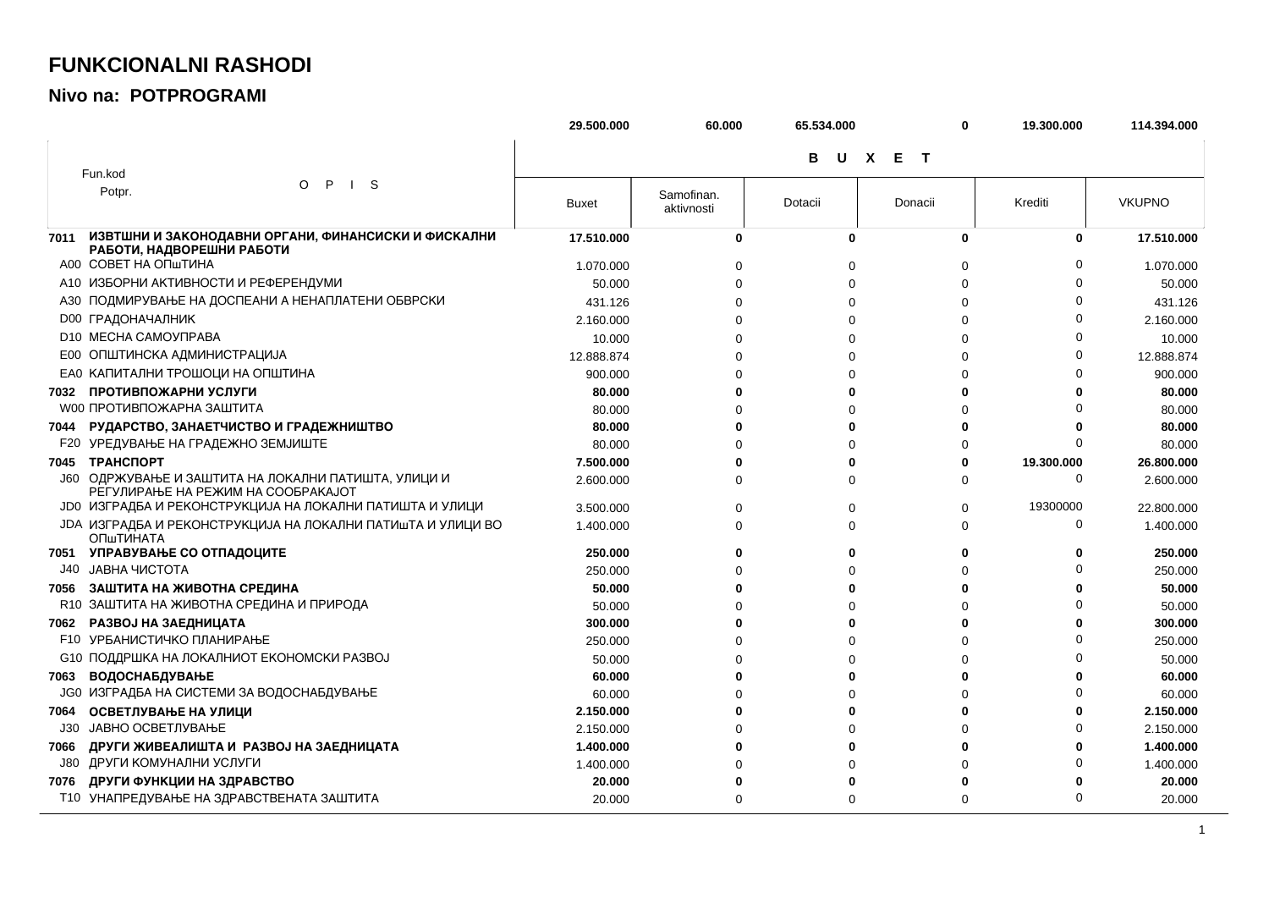## **FUNKCIONALNI RASHODI**

## Nivo na: POTPROGRAMI

|      |                                                                                           | 29.500.000   | 60.000                   | 65.534.000 | 0                   | 19.300.000 | 114.394.000   |
|------|-------------------------------------------------------------------------------------------|--------------|--------------------------|------------|---------------------|------------|---------------|
|      |                                                                                           |              |                          | в<br>U     | X E<br>$\mathbf{T}$ |            |               |
|      | Fun.kod                                                                                   |              |                          |            |                     |            |               |
|      | $\mathsf{P}$<br>S<br>O<br>$\mathbf{I}$<br>Potpr.                                          | <b>Buxet</b> | Samofinan.<br>aktivnosti | Dotacii    | Donacii             | Krediti    | <b>VKUPNO</b> |
| 7011 | ИЗВТШНИ И ЗАКОНОДАВНИ ОРГАНИ, ФИНАНСИСКИ И ФИСКАЛНИ<br>РАБОТИ, НАДВОРЕШНИ РАБОТИ          | 17.510.000   | 0                        | U          | 0                   | 0          | 17.510.000    |
|      | A00 COBET HA ONTIVIHA                                                                     | 1.070.000    |                          | $\Omega$   | 0                   |            | 1.070.000     |
|      | А10 ИЗБОРНИ АКТИВНОСТИ И РЕФЕРЕНДУМИ                                                      | 50.000       | $\Omega$                 | $\Omega$   | $\Omega$            |            | 50.000        |
|      | АЗО ПОДМИРУВАЊЕ НА ДОСПЕАНИ А НЕНАПЛАТЕНИ ОБВРСКИ                                         | 431.126      |                          | $\Omega$   | 0                   |            | 431.126       |
|      | <b>D00 ГРАДОНАЧАЛНИК</b>                                                                  | 2.160.000    |                          | $\Omega$   | $\Omega$            |            | 2.160.000     |
|      | D10 MECHA CAMOYIPABA                                                                      | 10.000       |                          | $\Omega$   | 0                   |            | 10.000        |
|      | Е00 ОПШТИНСКА АДМИНИСТРАЦИЈА                                                              | 12.888.874   |                          | $\Omega$   | $\Omega$            |            | 12.888.874    |
|      | ЕАО КАПИТАЛНИ ТРОШОЦИ НА ОПШТИНА                                                          | 900.000      |                          | 0          | $\Omega$            |            | 900.000       |
|      | 7032 ПРОТИВПОЖАРНИ УСЛУГИ                                                                 | 80.000       |                          | 0          | Û                   |            | 80.000        |
|      | <b>W00 ПРОТИВПОЖАРНА ЗАШТИТА</b>                                                          | 80.000       | C                        | 0          | O                   |            | 80.000        |
| 7044 | РУДАРСТВО, ЗАНАЕТЧИСТВО И ГРАДЕЖНИШТВО                                                    | 80.000       |                          | 0          | $\Omega$            |            | 80.000        |
|      | <b>F20 УРЕДУВАЊЕ НА ГРАДЕЖНО ЗЕМЈИШТЕ</b>                                                 | 80.000       |                          | $\Omega$   | $\Omega$            | $\Omega$   | 80.000        |
|      | 7045 TPAHCNOPT                                                                            | 7.500.000    |                          | 0          | 0                   | 19.300.000 | 26.800.000    |
|      | Ј60 ОДРЖУВАЊЕ И ЗАШТИТА НА ЛОКАЛНИ ПАТИШТА, УЛИЦИ И<br>РЕГУЛИРАЊЕ НА РЕЖИМ НА СООБРАКАЈОТ | 2.600.000    | ∩                        | $\Omega$   | $\Omega$            | $\Omega$   | 2.600.000     |
|      | ЈОО ИЗГРАДБА И РЕКОНСТРУКЦИЈА НА ЛОКАЛНИ ПАТИШТА И УЛИЦИ                                  | 3.500.000    | $\Omega$                 | 0          | 0                   | 19300000   | 22.800.000    |
|      | ЈОА ИЗГРАДБА И РЕКОНСТРУКЦИЈА НА ЛОКАЛНИ ПАТИШТА И УЛИЦИ ВО<br>ОПшТИНАТА                  | 1.400.000    | $\Omega$                 | 0          | $\Omega$            | $\Omega$   | 1.400.000     |
|      | 7051 УПРАВУВАЊЕ СО ОТПАДОЦИТЕ                                                             | 250,000      |                          | 0          | 0                   | 0          | 250.000       |
| J40  | ЈАВНА ЧИСТОТА                                                                             | 250.000      |                          | $\Omega$   | 0                   |            | 250.000       |
|      | 7056 ЗАШТИТА НА ЖИВОТНА СРЕДИНА                                                           | 50.000       |                          | 0          | O                   |            | 50.000        |
|      | R10 ЗАШТИТА НА ЖИВОТНА СРЕДИНА И ПРИРОДА                                                  | 50.000       |                          | $\Omega$   | 0                   |            | 50.000        |
| 7062 | РАЗВОЈ НА ЗАЕДНИЦАТА                                                                      | 300.000      |                          | 0          | U                   |            | 300.000       |
|      | <b>F10 УРБАНИСТИЧКО ПЛАНИРАЊЕ</b>                                                         | 250.000      |                          | 0          | $\Omega$            |            | 250.000       |
|      | С10 ПОДДРШКА НА ЛОКАЛНИОТ ЕКОНОМСКИ РАЗВОЈ                                                | 50.000       |                          | $\Omega$   | $\Omega$            |            | 50.000        |
| 7063 | <b>ВОДОСНАБДУВАЊЕ</b>                                                                     | 60.000       |                          | 0          | O                   |            | 60.000        |
|      | <b>JG0 ИЗГРАДБА НА СИСТЕМИ ЗА ВОДОСНАБДУВАЊЕ</b>                                          | 60.000       |                          | $\Omega$   | $\Omega$            |            | 60.000        |
| 7064 | ОСВЕТЛУВАЊЕ НА УЛИЦИ                                                                      | 2.150.000    |                          | 0          | 0                   |            | 2.150.000     |
| J30  | ЈАВНО ОСВЕТЛУВАЊЕ                                                                         | 2.150.000    |                          | $\Omega$   | $\Omega$            |            | 2.150.000     |
| 7066 | ДРУГИ ЖИВЕАЛИШТА И РАЗВОЈ НА ЗАЕДНИЦАТА                                                   | 1.400.000    |                          | 0          | 0                   |            | 1.400.000     |
| J80  | ДРУГИ КОМУНАЛНИ УСЛУГИ                                                                    | 1.400.000    |                          | 0          | 0                   |            | 1.400.000     |
| 7076 | ДРУГИ ФУНКЦИИ НА ЗДРАВСТВО                                                                | 20.000       |                          | 0          | 0                   |            | 20.000        |
|      | Т10 УНАПРЕДУВАЊЕ НА ЗДРАВСТВЕНАТА ЗАШТИТА                                                 | 20.000       | $\Omega$                 | $\Omega$   | $\Omega$            | $\Omega$   | 20.000        |